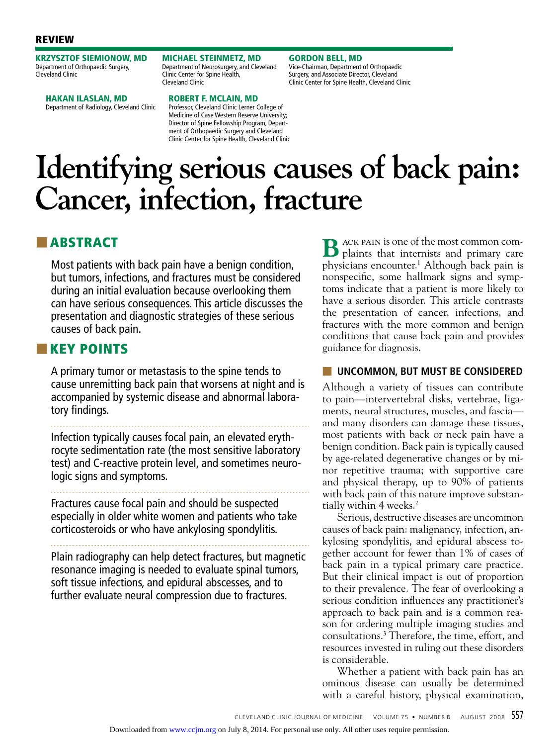## REVIEW

KRZYSZTOF SIEMIONOW, MD Department of Orthopaedic Surgery, Cleveland Clinic

HAKAN ILASLAN, MD Department of Radiology, Cleveland Clinic MICHAEL STEINMETZ, MD Department of Neurosurgery, and Cleveland Clinic Center for Spine Health, Cleveland Clinic

GORDON BELL, MD Vice-Chairman, Department of Orthopaedic Surgery, and Associate Director, Cleveland Clinic Center for Spine Health, Cleveland Clinic

## ROBERT F. McLAIN, MD

Professor, Cleveland Clinic Lerner College of Medicine of Case Western Reserve University; Director of Spine Fellowship Program, Department of Orthopaedic Surgery and Cleveland Clinic Center for Spine Health, Cleveland Clinic

# **Identifying serious causes of back pain: Cancer, infection, fracture**

## ■ ABSTRACT

Most patients with back pain have a benign condition, but tumors, infections, and fractures must be considered during an initial evaluation because overlooking them can have serious consequences. This article discusses the presentation and diagnostic strategies of these serious causes of back pain.

## ■■ KEY POINTS

A primary tumor or metastasis to the spine tends to cause unremitting back pain that worsens at night and is accompanied by systemic disease and abnormal laboratory findings.

Infection typically causes focal pain, an elevated erythrocyte sedimentation rate (the most sensitive laboratory test) and C-reactive protein level, and sometimes neurologic signs and symptoms.

Fractures cause focal pain and should be suspected especially in older white women and patients who take corticosteroids or who have ankylosing spondylitis.

Plain radiography can help detect fractures, but magnetic resonance imaging is needed to evaluate spinal tumors, soft tissue infections, and epidural abscesses, and to further evaluate neural compression due to fractures.

**B** ACK PAIN is one of the most common complaints that internists and primary care physicians encounter.1 Although back pain is nonspecific, some hallmark signs and symptoms indicate that a patient is more likely to have a serious disorder. This article contrasts the presentation of cancer, infections, and fractures with the more common and benign conditions that cause back pain and provides guidance for diagnosis.

## ■ **UNCOMMON, BUT MUST BE CONSIDERED**

Although a variety of tissues can contribute to pain—intervertebral disks, vertebrae, ligaments, neural structures, muscles, and fascia and many disorders can damage these tissues, most patients with back or neck pain have a benign condition. Back pain is typically caused by age-related degenerative changes or by minor repetitive trauma; with supportive care and physical therapy, up to 90% of patients with back pain of this nature improve substantially within 4 weeks.<sup>2</sup>

Serious, destructive diseases are uncommon causes of back pain: malignancy, infection, ankylosing spondylitis, and epidural abscess together account for fewer than 1% of cases of back pain in a typical primary care practice. But their clinical impact is out of proportion to their prevalence. The fear of overlooking a serious condition influences any practitioner's approach to back pain and is a common reason for ordering multiple imaging studies and consultations.3 Therefore, the time, effort, and resources invested in ruling out these disorders is considerable.

Whether a patient with back pain has an ominous disease can usually be determined with a careful history, physical examination,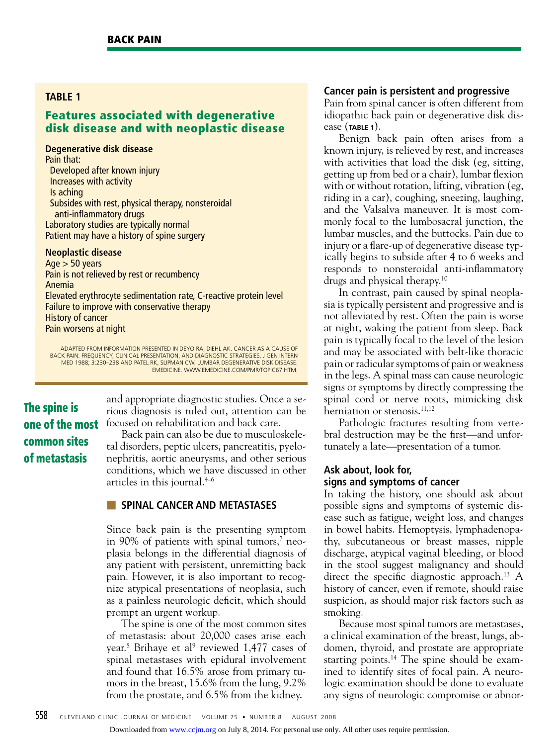## **table 1**

## Features associated with degenerative disk disease and with neoplastic disease

**Degenerative disk disease**

Pain that: Developed after known injury Increases with activity Is aching Subsides with rest, physical therapy, nonsteroidal anti-inflammatory drugs Laboratory studies are typically normal Patient may have a history of spine surgery

#### **Neoplastic disease**

 $Age > 50 years$ Pain is not relieved by rest or recumbency Anemia Elevated erythrocyte sedimentation rate, C-reactive protein level Failure to improve with conservative therapy History of cancer Pain worsens at night

ADAPTED FROM INFORMATION PRESENTED IN DEYO RA, DIEHL AK. CANCER AS A CAUSE OF BACK PAIN: FREQUENCY, CLINICAL PRESENTATION, AND DIAGNOSTIC STRATEGIES. J GEN INTERN MED 1988; 3:230–238 AND PATEL RK, SLIPMAN CW. LUMBAR DEGENERATIVE DISK DISEASE. EmEDICINE. WWW.EMEDICINE.COM/PMR/TOPIC67.HTM.

The spine is one of the most common sites of metastasis

and appropriate diagnostic studies. Once a serious diagnosis is ruled out, attention can be focused on rehabilitation and back care.

Back pain can also be due to musculoskeletal disorders, peptic ulcers, pancreatitis, pyelonephritis, aortic aneurysms, and other serious conditions, which we have discussed in other articles in this journal.4–6

#### ■ **SPINAL CANCER AND METASTASES**

Since back pain is the presenting symptom in 90% of patients with spinal tumors,<sup>7</sup> neoplasia belongs in the differential diagnosis of any patient with persistent, unremitting back pain. However, it is also important to recognize atypical presentations of neoplasia, such as a painless neurologic deficit, which should prompt an urgent workup.

The spine is one of the most common sites of metastasis: about 20,000 cases arise each year.<sup>8</sup> Brihaye et al<sup>9</sup> reviewed 1,477 cases of spinal metastases with epidural involvement and found that 16.5% arose from primary tumors in the breast, 15.6% from the lung, 9.2% from the prostate, and 6.5% from the kidney.

#### **Cancer pain is persistent and progressive**

Pain from spinal cancer is often different from idiopathic back pain or degenerative disk disease (**TABLE 1**).

Benign back pain often arises from a known injury, is relieved by rest, and increases with activities that load the disk (eg, sitting, getting up from bed or a chair), lumbar flexion with or without rotation, lifting, vibration (eg, riding in a car), coughing, sneezing, laughing, and the Valsalva maneuver. It is most commonly focal to the lumbosacral junction, the lumbar muscles, and the buttocks. Pain due to injury or a flare-up of degenerative disease typically begins to subside after 4 to 6 weeks and responds to nonsteroidal anti-inflammatory drugs and physical therapy.10

In contrast, pain caused by spinal neoplasia is typically persistent and progressive and is not alleviated by rest. Often the pain is worse at night, waking the patient from sleep. Back pain is typically focal to the level of the lesion and may be associated with belt-like thoracic pain or radicular symptoms of pain or weakness in the legs. A spinal mass can cause neurologic signs or symptoms by directly compressing the spinal cord or nerve roots, mimicking disk herniation or stenosis.<sup>11,12</sup>

Pathologic fractures resulting from vertebral destruction may be the first—and unfortunately a late—presentation of a tumor.

## **Ask about, look for, signs and symptoms of cancer**

In taking the history, one should ask about possible signs and symptoms of systemic disease such as fatigue, weight loss, and changes in bowel habits. Hemoptysis, lymphadenopathy, subcutaneous or breast masses, nipple discharge, atypical vaginal bleeding, or blood in the stool suggest malignancy and should direct the specific diagnostic approach.<sup>13</sup> A history of cancer, even if remote, should raise suspicion, as should major risk factors such as smoking.

Because most spinal tumors are metastases, a clinical examination of the breast, lungs, abdomen, thyroid, and prostate are appropriate starting points.<sup>14</sup> The spine should be examined to identify sites of focal pain. A neurologic examination should be done to evaluate any signs of neurologic compromise or abnor-

Downloaded from [www.ccjm.org](http://www.ccjm.org/) on July 8, 2014. For personal use only. All other uses require permission.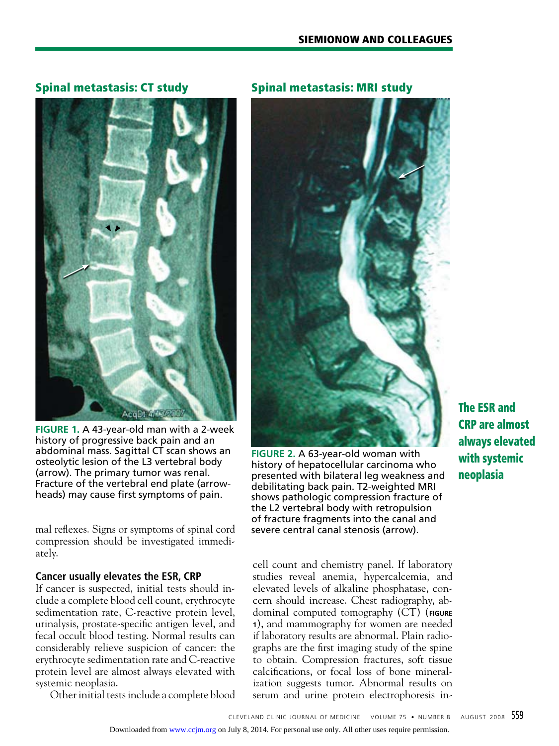## Spinal metastasis: CT study



**FIGURE 1.** A 43-year-old man with a 2-week history of progressive back pain and an abdominal mass. Sagittal CT scan shows an osteolytic lesion of the L3 vertebral body (arrow). The primary tumor was renal. Fracture of the vertebral end plate (arrowheads) may cause first symptoms of pain.

mal reflexes. Signs or symptoms of spinal cord compression should be investigated immediately.

## **Cancer usually elevates the ESR, CRP**

If cancer is suspected, initial tests should include a complete blood cell count, erythrocyte sedimentation rate, C-reactive protein level, urinalysis, prostate-specific antigen level, and fecal occult blood testing. Normal results can considerably relieve suspicion of cancer: the erythrocyte sedimentation rate and C-reactive protein level are almost always elevated with systemic neoplasia.

Other initial tests include a complete blood

## Spinal metastasis: MRI study



**FIGURE 2.** A 63-year-old woman with history of hepatocellular carcinoma who presented with bilateral leg weakness and debilitating back pain. T2-weighted MRI shows pathologic compression fracture of the L2 vertebral body with retropulsion of fracture fragments into the canal and severe central canal stenosis (arrow).

cell count and chemistry panel. If laboratory studies reveal anemia, hypercalcemia, and elevated levels of alkaline phosphatase, concern should increase. Chest radiography, abdominal computed tomography (CT) (**FIGURE <sup>1</sup>**), and mammography for women are needed if laboratory results are abnormal. Plain radiographs are the first imaging study of the spine to obtain. Compression fractures, soft tissue calcifications, or focal loss of bone mineralization suggests tumor. Abnormal results on serum and urine protein electrophoresis in-

The ESR and CRP are almost always elevated with systemic neoplasia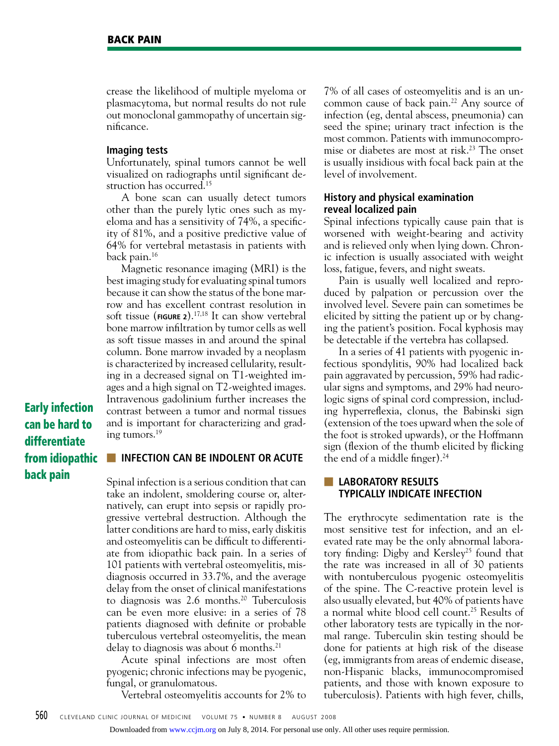crease the likelihood of multiple myeloma or plasmacytoma, but normal results do not rule out monoclonal gammopathy of uncertain significance.

#### **Imaging tests**

Unfortunately, spinal tumors cannot be well visualized on radiographs until significant destruction has occurred.<sup>15</sup>

A bone scan can usually detect tumors other than the purely lytic ones such as myeloma and has a sensitivity of 74%, a specificity of 81%, and a positive predictive value of 64% for vertebral metastasis in patients with back pain.16

Magnetic resonance imaging (MRI) is the best imaging study for evaluating spinal tumors because it can show the status of the bone marrow and has excellent contrast resolution in soft tissue (**FIGURE 2**).17,18 It can show vertebral bone marrow infiltration by tumor cells as well as soft tissue masses in and around the spinal column. Bone marrow invaded by a neoplasm is characterized by increased cellularity, resulting in a decreased signal on T1-weighted images and a high signal on T2-weighted images. Intravenous gadolinium further increases the contrast between a tumor and normal tissues and is important for characterizing and grading tumors.19

Early infection can be hard to differentiate from idiopathic back pain

## **UP INFECTION CAN BE INDOLENT OR ACUTE**

Spinal infection is a serious condition that can take an indolent, smoldering course or, alternatively, can erupt into sepsis or rapidly progressive vertebral destruction. Although the latter conditions are hard to miss, early diskitis and osteomyelitis can be difficult to differentiate from idiopathic back pain. In a series of 101 patients with vertebral osteomyelitis, misdiagnosis occurred in 33.7%, and the average delay from the onset of clinical manifestations to diagnosis was 2.6 months.<sup>20</sup> Tuberculosis can be even more elusive: in a series of 78 patients diagnosed with definite or probable tuberculous vertebral osteomyelitis, the mean delay to diagnosis was about 6 months.<sup>21</sup>

Acute spinal infections are most often pyogenic; chronic infections may be pyogenic, fungal, or granulomatous.

Vertebral osteomyelitis accounts for 2% to

7% of all cases of osteomyelitis and is an uncommon cause of back pain.<sup>22</sup> Any source of infection (eg, dental abscess, pneumonia) can seed the spine; urinary tract infection is the most common. Patients with immunocompromise or diabetes are most at risk.<sup>23</sup> The onset is usually insidious with focal back pain at the level of involvement.

#### **History and physical examination reveal localized pain**

Spinal infections typically cause pain that is worsened with weight-bearing and activity and is relieved only when lying down. Chronic infection is usually associated with weight loss, fatigue, fevers, and night sweats.

Pain is usually well localized and reproduced by palpation or percussion over the involved level. Severe pain can sometimes be elicited by sitting the patient up or by changing the patient's position. Focal kyphosis may be detectable if the vertebra has collapsed.

In a series of 41 patients with pyogenic infectious spondylitis, 90% had localized back pain aggravated by percussion, 59% had radicular signs and symptoms, and 29% had neurologic signs of spinal cord compression, including hyperreflexia, clonus, the Babinski sign (extension of the toes upward when the sole of the foot is stroked upwards), or the Hoffmann sign (flexion of the thumb elicited by flicking the end of a middle finger).<sup>24</sup>

## ■ **Laboratory results typically indicate infection**

The erythrocyte sedimentation rate is the most sensitive test for infection, and an elevated rate may be the only abnormal laboratory finding: Digby and Kersley<sup>25</sup> found that the rate was increased in all of 30 patients with nontuberculous pyogenic osteomyelitis of the spine. The C-reactive protein level is also usually elevated, but 40% of patients have a normal white blood cell count.<sup>25</sup> Results of other laboratory tests are typically in the normal range. Tuberculin skin testing should be done for patients at high risk of the disease (eg, immigrants from areas of endemic disease, non-Hispanic blacks, immunocompromised patients, and those with known exposure to tuberculosis). Patients with high fever, chills,

Downloaded from [www.ccjm.org](http://www.ccjm.org/) on July 8, 2014. For personal use only. All other uses require permission.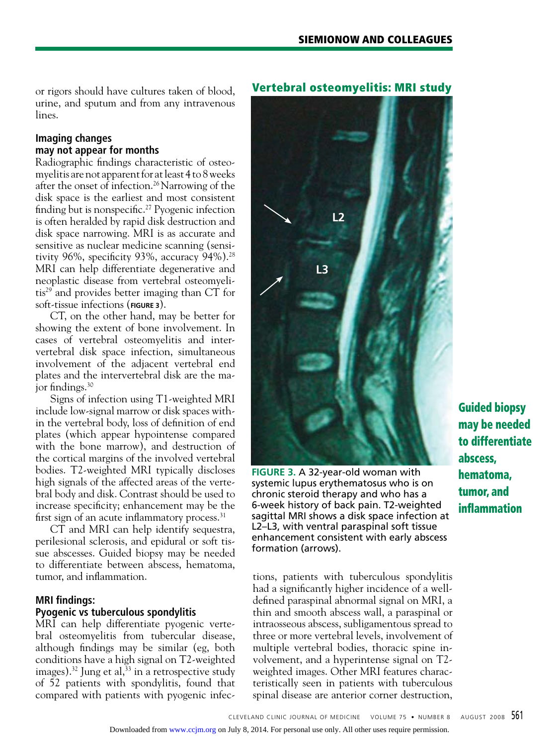or rigors should have cultures taken of blood, urine, and sputum and from any intravenous lines.

## **Imaging changes may not appear for months**

Radiographic findings characteristic of osteomyelitis are not apparent for at least 4 to 8 weeks after the onset of infection.26 Narrowing of the disk space is the earliest and most consistent finding but is nonspecific.<sup>27</sup> Pyogenic infection is often heralded by rapid disk destruction and disk space narrowing. MRI is as accurate and sensitive as nuclear medicine scanning (sensitivity 96%, specificity 93%, accuracy 94%).<sup>28</sup> MRI can help differentiate degenerative and neoplastic disease from vertebral osteomyelitis29 and provides better imaging than CT for soft-tissue infections (**FIGURE 3**).

CT, on the other hand, may be better for showing the extent of bone involvement. In cases of vertebral osteomyelitis and intervertebral disk space infection, simultaneous involvement of the adjacent vertebral end plates and the intervertebral disk are the major findings.<sup>30</sup>

Signs of infection using T1-weighted MRI include low-signal marrow or disk spaces within the vertebral body, loss of definition of end plates (which appear hypointense compared with the bone marrow), and destruction of the cortical margins of the involved vertebral bodies. T2-weighted MRI typically discloses high signals of the affected areas of the vertebral body and disk. Contrast should be used to increase specificity; enhancement may be the first sign of an acute inflammatory process.<sup>31</sup>

CT and MRI can help identify sequestra, perilesional sclerosis, and epidural or soft tissue abscesses. Guided biopsy may be needed to differentiate between abscess, hematoma, tumor, and inflammation.

#### **MRI findings: Pyogenic vs tuberculous spondylitis**

MRI can help differentiate pyogenic vertebral osteomyelitis from tubercular disease, although findings may be similar (eg, both conditions have a high signal on T2-weighted images).<sup>32</sup> Jung et al,<sup>33</sup> in a retrospective study of 52 patients with spondylitis, found that compared with patients with pyogenic infec-

## Vertebral osteomyelitis: MRI study



**FIGURE 3.** A 32-year-old woman with systemic lupus erythematosus who is on chronic steroid therapy and who has a 6-week history of back pain. T2-weighted sagittal MRI shows a disk space infection at L2–L3, with ventral paraspinal soft tissue enhancement consistent with early abscess formation (arrows).

tions, patients with tuberculous spondylitis had a significantly higher incidence of a welldefined paraspinal abnormal signal on MRI, a thin and smooth abscess wall, a paraspinal or intraosseous abscess, subligamentous spread to three or more vertebral levels, involvement of multiple vertebral bodies, thoracic spine involvement, and a hyperintense signal on T2 weighted images. Other MRI features characteristically seen in patients with tuberculous spinal disease are anterior corner destruction,

Guided biopsy may be needed to differentiate abscess, hematoma, tumor, and inflammation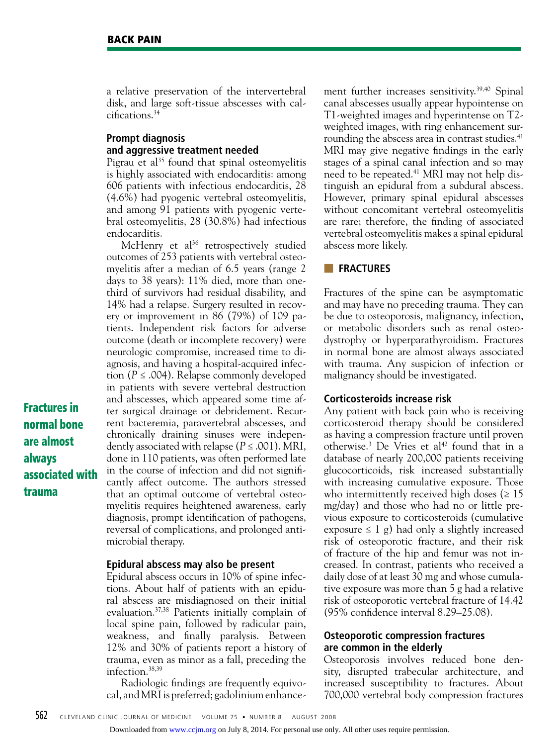Fractures in normal bone are almost

associated with

always

trauma

a relative preservation of the intervertebral disk, and large soft-tissue abscesses with calcifications.34

## **Prompt diagnosis and aggressive treatment needed**

Pigrau et al<sup>35</sup> found that spinal osteomyelitis is highly associated with endocarditis: among 606 patients with infectious endocarditis, 28 (4.6%) had pyogenic vertebral osteomyelitis, and among 91 patients with pyogenic vertebral osteomyelitis, 28 (30.8%) had infectious endocarditis.

McHenry et  $al^{36}$  retrospectively studied outcomes of 253 patients with vertebral osteomyelitis after a median of 6.5 years (range 2 days to 38 years): 11% died, more than onethird of survivors had residual disability, and 14% had a relapse. Surgery resulted in recovery or improvement in 86 (79%) of 109 patients. Independent risk factors for adverse outcome (death or incomplete recovery) were neurologic compromise, increased time to diagnosis, and having a hospital-acquired infection (*P* ≤ .004). Relapse commonly developed in patients with severe vertebral destruction and abscesses, which appeared some time after surgical drainage or debridement. Recurrent bacteremia, paravertebral abscesses, and chronically draining sinuses were independently associated with relapse (*P* ≤ .001). MRI, done in 110 patients, was often performed late in the course of infection and did not significantly affect outcome. The authors stressed that an optimal outcome of vertebral osteomyelitis requires heightened awareness, early diagnosis, prompt identification of pathogens, reversal of complications, and prolonged antimicrobial therapy.

#### **Epidural abscess may also be present**

Epidural abscess occurs in 10% of spine infections. About half of patients with an epidural abscess are misdiagnosed on their initial evaluation.37,38 Patients initially complain of local spine pain, followed by radicular pain, weakness, and finally paralysis. Between 12% and 30% of patients report a history of trauma, even as minor as a fall, preceding the infection.38,39

Radiologic findings are frequently equivocal, and MRI is preferred; gadolinium enhancement further increases sensitivity.<sup>39,40</sup> Spinal canal abscesses usually appear hypointense on T1-weighted images and hyperintense on T2 weighted images, with ring enhancement surrounding the abscess area in contrast studies.<sup>41</sup> MRI may give negative findings in the early stages of a spinal canal infection and so may need to be repeated.<sup>41</sup> MRI may not help distinguish an epidural from a subdural abscess. However, primary spinal epidural abscesses without concomitant vertebral osteomyelitis are rare; therefore, the finding of associated vertebral osteomyelitis makes a spinal epidural abscess more likely.

#### ■ **FRACTURES**

Fractures of the spine can be asymptomatic and may have no preceding trauma. They can be due to osteoporosis, malignancy, infection, or metabolic disorders such as renal osteodystrophy or hyperparathyroidism. Fractures in normal bone are almost always associated with trauma. Any suspicion of infection or malignancy should be investigated.

#### **Corticosteroids increase risk**

Any patient with back pain who is receiving corticosteroid therapy should be considered as having a compression fracture until proven otherwise.<sup>3</sup> De Vries et al<sup>42</sup> found that in a database of nearly 200,000 patients receiving glucocorticoids, risk increased substantially with increasing cumulative exposure. Those who intermittently received high doses ( $\geq 15$ ) mg/day) and those who had no or little previous exposure to corticosteroids (cumulative exposure  $\leq 1$  g) had only a slightly increased risk of osteoporotic fracture, and their risk of fracture of the hip and femur was not increased. In contrast, patients who received a daily dose of at least 30 mg and whose cumulative exposure was more than 5 g had a relative risk of osteoporotic vertebral fracture of 14.42 (95% confidence interval 8.29–25.08).

## **Osteoporotic compression fractures are common in the elderly**

Osteoporosis involves reduced bone density, disrupted trabecular architecture, and increased susceptibility to fractures. About 700,000 vertebral body compression fractures

562 CLEVELAND CLINIC JOURNAL OF MEDICINE VOLUME 75 • NUMBER 8 AUGUST 2008

Downloaded from [www.ccjm.org](http://www.ccjm.org/) on July 8, 2014. For personal use only. All other uses require permission.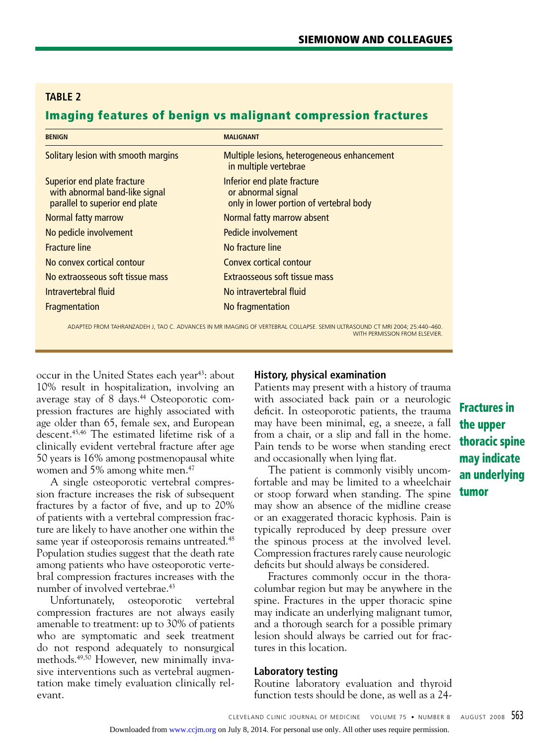## **table 2**

## Imaging features of benign vs malignant compression fractures

| <b>BENIGN</b>                                                                                   | <b>MALIGNANT</b>                                                                             |
|-------------------------------------------------------------------------------------------------|----------------------------------------------------------------------------------------------|
| Solitary lesion with smooth margins                                                             | Multiple lesions, heterogeneous enhancement<br>in multiple vertebrae                         |
| Superior end plate fracture<br>with abnormal band-like signal<br>parallel to superior end plate | Inferior end plate fracture<br>or abnormal signal<br>only in lower portion of vertebral body |
| Normal fatty marrow                                                                             | Normal fatty marrow absent                                                                   |
| No pedicle involvement                                                                          | Pedicle involvement                                                                          |
| <b>Fracture line</b>                                                                            | No fracture line                                                                             |
| No convex cortical contour                                                                      | Convex cortical contour                                                                      |
| No extraosseous soft tissue mass                                                                | Extraosseous soft tissue mass                                                                |
| Intravertebral fluid                                                                            | No intravertebral fluid                                                                      |
| <b>Fragmentation</b>                                                                            | No fragmentation                                                                             |

ADAPTED FROM TAHRANZADEH J, TAO C. ADVANCES IN MR IMAGING OF VERTEBRAL COLLAPSE. SEMIN ULTRASOUND CT MRI 2004; 25:440–460. WITH PERMISSION FROM ELSEVIER.

occur in the United States each year<sup>43</sup>: about 10% result in hospitalization, involving an average stay of 8 days.<sup>44</sup> Osteoporotic compression fractures are highly associated with age older than 65, female sex, and European descent.45,46 The estimated lifetime risk of a clinically evident vertebral fracture after age 50 years is 16% among postmenopausal white women and 5% among white men.<sup>47</sup>

A single osteoporotic vertebral compression fracture increases the risk of subsequent fractures by a factor of five, and up to 20% of patients with a vertebral compression fracture are likely to have another one within the same year if osteoporosis remains untreated.<sup>48</sup> Population studies suggest that the death rate among patients who have osteoporotic vertebral compression fractures increases with the number of involved vertebrae.<sup>43</sup>

Unfortunately, osteoporotic vertebral compression fractures are not always easily amenable to treatment: up to 30% of patients who are symptomatic and seek treatment do not respond adequately to nonsurgical methods.49,50 However, new minimally invasive interventions such as vertebral augmentation make timely evaluation clinically relevant.

## **History, physical examination**

Patients may present with a history of trauma with associated back pain or a neurologic deficit. In osteoporotic patients, the trauma may have been minimal, eg, a sneeze, a fall from a chair, or a slip and fall in the home. Pain tends to be worse when standing erect and occasionally when lying flat.

The patient is commonly visibly uncomfortable and may be limited to a wheelchair or stoop forward when standing. The spine may show an absence of the midline crease or an exaggerated thoracic kyphosis. Pain is typically reproduced by deep pressure over the spinous process at the involved level. Compression fractures rarely cause neurologic deficits but should always be considered.

Fractures commonly occur in the thoracolumbar region but may be anywhere in the spine. Fractures in the upper thoracic spine may indicate an underlying malignant tumor, and a thorough search for a possible primary lesion should always be carried out for fractures in this location.

## **Laboratory testing**

Routine laboratory evaluation and thyroid function tests should be done, as well as a 24-

Fractures in the upper thoracic spine may indicate an underlying tumor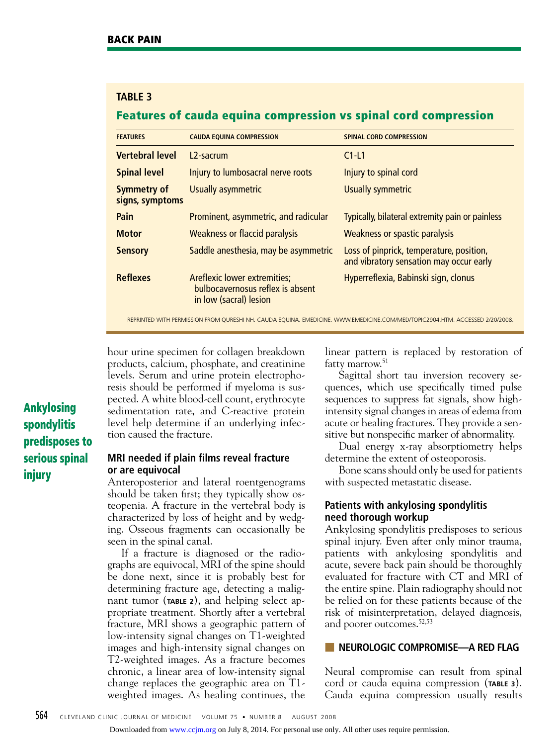## **table 3**

## Features of cauda equina compression vs spinal cord compression

| <b>FEATURES</b>                       | <b>CAUDA EQUINA COMPRESSION</b>                                                            | <b>SPINAL CORD COMPRESSION</b>                                                      |
|---------------------------------------|--------------------------------------------------------------------------------------------|-------------------------------------------------------------------------------------|
| <b>Vertebral level</b>                | 12-sacrum                                                                                  | $C1-L1$                                                                             |
| <b>Spinal level</b>                   | Injury to lumbosacral nerve roots                                                          | Injury to spinal cord                                                               |
| <b>Symmetry of</b><br>signs, symptoms | Usually asymmetric                                                                         | Usually symmetric                                                                   |
| Pain                                  | Prominent, asymmetric, and radicular                                                       | Typically, bilateral extremity pain or painless                                     |
| <b>Motor</b>                          | Weakness or flaccid paralysis                                                              | Weakness or spastic paralysis                                                       |
| <b>Sensory</b>                        | Saddle anesthesia, may be asymmetric                                                       | Loss of pinprick, temperature, position,<br>and vibratory sensation may occur early |
| <b>Reflexes</b>                       | Areflexic lower extremities;<br>bulbocavernosus reflex is absent<br>in low (sacral) lesion | Hyperreflexia, Babinski sign, clonus                                                |

reprinted with permission FROM QURESHI NH. CAUDA EQUINA. EMEDICINE. WWW.EMEDICINE.COM/MED/TOPIC2904.HTM. ACCESSED 2/20/2008.

hour urine specimen for collagen breakdown products, calcium, phosphate, and creatinine levels. Serum and urine protein electrophoresis should be performed if myeloma is suspected. A white blood-cell count, erythrocyte sedimentation rate, and C-reactive protein level help determine if an underlying infection caused the fracture.

#### **MRI needed if plain films reveal fracture or are equivocal**

Anteroposterior and lateral roentgenograms should be taken first; they typically show osteopenia. A fracture in the vertebral body is characterized by loss of height and by wedging. Osseous fragments can occasionally be seen in the spinal canal.

If a fracture is diagnosed or the radiographs are equivocal, MRI of the spine should be done next, since it is probably best for determining fracture age, detecting a malignant tumor (**TABLE 2**), and helping select appropriate treatment. Shortly after a vertebral fracture, MRI shows a geographic pattern of low-intensity signal changes on T1-weighted images and high-intensity signal changes on T2-weighted images. As a fracture becomes chronic, a linear area of low-intensity signal change replaces the geographic area on T1 weighted images. As healing continues, the

linear pattern is replaced by restoration of fatty marrow.<sup>51</sup>

Sagittal short tau inversion recovery sequences, which use specifically timed pulse sequences to suppress fat signals, show highintensity signal changes in areas of edema from acute or healing fractures. They provide a sensitive but nonspecific marker of abnormality.

Dual energy x-ray absorptiometry helps determine the extent of osteoporosis.

Bone scans should only be used for patients with suspected metastatic disease.

## **Patients with ankylosing spondylitis need thorough workup**

Ankylosing spondylitis predisposes to serious spinal injury. Even after only minor trauma, patients with ankylosing spondylitis and acute, severe back pain should be thoroughly evaluated for fracture with CT and MRI of the entire spine. Plain radiography should not be relied on for these patients because of the risk of misinterpretation, delayed diagnosis, and poorer outcomes.52,53

### ■ **NEUROLOGIC COMPROMISE—A RED FLAG**

Neural compromise can result from spinal cord or cauda equina compression (**TABLE 3**). Cauda equina compression usually results

# Ankylosing spondylitis predisposes to serious spinal injury

Downloaded from [www.ccjm.org](http://www.ccjm.org/) on July 8, 2014. For personal use only. All other uses require permission.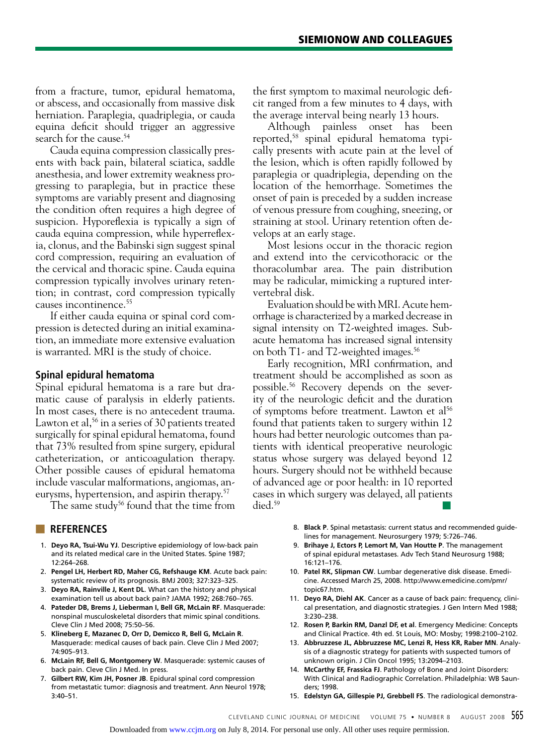from a fracture, tumor, epidural hematoma, or abscess, and occasionally from massive disk herniation. Paraplegia, quadriplegia, or cauda equina deficit should trigger an aggressive search for the cause.<sup>54</sup>

Cauda equina compression classically presents with back pain, bilateral sciatica, saddle anesthesia, and lower extremity weakness progressing to paraplegia, but in practice these symptoms are variably present and diagnosing the condition often requires a high degree of suspicion. Hyporeflexia is typically a sign of cauda equina compression, while hyperreflexia, clonus, and the Babinski sign suggest spinal cord compression, requiring an evaluation of the cervical and thoracic spine. Cauda equina compression typically involves urinary retention; in contrast, cord compression typically causes incontinence.55

If either cauda equina or spinal cord compression is detected during an initial examination, an immediate more extensive evaluation is warranted. MRI is the study of choice.

#### **Spinal epidural hematoma**

Spinal epidural hematoma is a rare but dramatic cause of paralysis in elderly patients. In most cases, there is no antecedent trauma. Lawton et al,  $56$  in a series of 30 patients treated surgically for spinal epidural hematoma, found that 73% resulted from spine surgery, epidural catheterization, or anticoagulation therapy. Other possible causes of epidural hematoma include vascular malformations, angiomas, aneurysms, hypertension, and aspirin therapy.57

The same study<sup>56</sup> found that the time from

#### ■ **REFERENCES**

- 1. **Deyo RA, Tsui-Wu YJ**. Descriptive epidemiology of low-back pain and its related medical care in the United States. Spine 1987; 12:264–268.
- 2. **Pengel LH, Herbert RD, Maher CG, Refshauge KM**. Acute back pain: systematic review of its prognosis. BMJ 2003; 327:323–325.
- 3. **Deyo RA, Rainville J, Kent DL**. What can the history and physical examination tell us about back pain? JAMA 1992; 268:760–765.
- 4. **Pateder DB, Brems J, Lieberman I, Bell GR, McLain RF**. Masquerade: nonspinal musculoskeletal disorders that mimic spinal conditions. Cleve Clin J Med 2008; 75:50–56.
- 5. **Klineberg E, Mazanec D, Orr D, Demicco R, Bell G, McLain R**. Masquerade: medical causes of back pain. Cleve Clin J Med 2007; 74:905–913.
- 6. **McLain RF, Bell G, Montgomery W**. Masquerade: systemic causes of back pain. Cleve Clin J Med. In press.
- 7. **Gilbert RW, Kim JH, Posner JB**. Epidural spinal cord compression from metastatic tumor: diagnosis and treatment. Ann Neurol 1978; 3:40–51.

the first symptom to maximal neurologic deficit ranged from a few minutes to 4 days, with the average interval being nearly 13 hours.

Although painless onset has been reported,58 spinal epidural hematoma typically presents with acute pain at the level of the lesion, which is often rapidly followed by paraplegia or quadriplegia, depending on the location of the hemorrhage. Sometimes the onset of pain is preceded by a sudden increase of venous pressure from coughing, sneezing, or straining at stool. Urinary retention often develops at an early stage.

Most lesions occur in the thoracic region and extend into the cervicothoracic or the thoracolumbar area. The pain distribution may be radicular, mimicking a ruptured intervertebral disk.

Evaluation should be with MRI. Acute hemorrhage is characterized by a marked decrease in signal intensity on T2-weighted images. Subacute hematoma has increased signal intensity on both T1- and T2-weighted images.<sup>56</sup>

Early recognition, MRI confirmation, and treatment should be accomplished as soon as possible.56 Recovery depends on the severity of the neurologic deficit and the duration of symptoms before treatment. Lawton et al<sup>56</sup> found that patients taken to surgery within 12 hours had better neurologic outcomes than patients with identical preoperative neurologic status whose surgery was delayed beyond 12 hours. Surgery should not be withheld because of advanced age or poor health: in 10 reported cases in which surgery was delayed, all patients died. $59$ 

- 8. **Black P**. Spinal metastasis: current status and recommended guidelines for management. Neurosurgery 1979; 5:726–746.
- 9. **Brihaye J, Ectors P, Lemort M, Van Houtte P**. The management of spinal epidural metastases. Adv Tech Stand Neurosurg 1988; 16:121–176.
- 10. **Patel RK, Slipman CW**. Lumbar degenerative disk disease. Emedicine. Accessed March 25, 2008. http://www.emedicine.com/pmr/ topic67.htm.
- 11. **Deyo RA, Diehl AK**. Cancer as a cause of back pain: frequency, clinical presentation, and diagnostic strategies. J Gen Intern Med 1988; 3:230–238.
- 12. **Rosen P, Barkin RM, Danzl DF, et al**. Emergency Medicine: Concepts and Clinical Practice. 4th ed. St Louis, MO: Mosby; 1998:2100–2102.
- 13. **Abbruzzese JL, Abbruzzese MC, Lenzi R, Hess KR, Raber MN**. Analysis of a diagnostic strategy for patients with suspected tumors of unknown origin. J Clin Oncol 1995; 13:2094–2103.
- 14. **McCarthy EF, Frassica FJ**. Pathology of Bone and Joint Disorders: With Clinical and Radiographic Correlation. Philadelphia: WB Saunders; 1998.
- 15. **Edelstyn GA, Gillespie PJ, Grebbell FS**. The radiological demonstra-